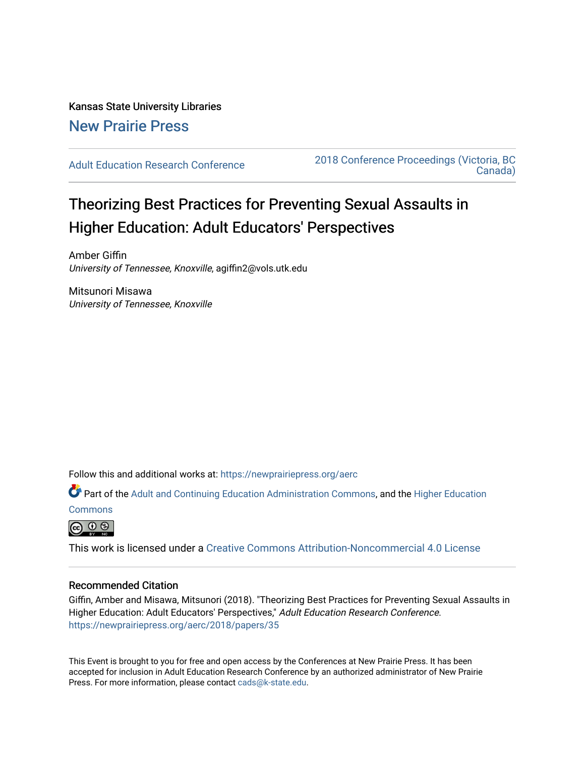# Kansas State University Libraries [New Prairie Press](https://newprairiepress.org/)

[Adult Education Research Conference](https://newprairiepress.org/aerc) [2018 Conference Proceedings \(Victoria, BC](https://newprairiepress.org/aerc/2018)  [Canada\)](https://newprairiepress.org/aerc/2018) 

# Theorizing Best Practices for Preventing Sexual Assaults in Higher Education: Adult Educators' Perspectives

Amber Giffin University of Tennessee, Knoxville, agiffin2@vols.utk.edu

Mitsunori Misawa University of Tennessee, Knoxville

Follow this and additional works at: [https://newprairiepress.org/aerc](https://newprairiepress.org/aerc?utm_source=newprairiepress.org%2Faerc%2F2018%2Fpapers%2F35&utm_medium=PDF&utm_campaign=PDFCoverPages)

Part of the [Adult and Continuing Education Administration Commons](http://network.bepress.com/hgg/discipline/789?utm_source=newprairiepress.org%2Faerc%2F2018%2Fpapers%2F35&utm_medium=PDF&utm_campaign=PDFCoverPages), and the Higher Education

**[Commons](http://network.bepress.com/hgg/discipline/1245?utm_source=newprairiepress.org%2Faerc%2F2018%2Fpapers%2F35&utm_medium=PDF&utm_campaign=PDFCoverPages)** 



This work is licensed under a [Creative Commons Attribution-Noncommercial 4.0 License](https://creativecommons.org/licenses/by-nc/4.0/)

# Recommended Citation

Giffin, Amber and Misawa, Mitsunori (2018). "Theorizing Best Practices for Preventing Sexual Assaults in Higher Education: Adult Educators' Perspectives," Adult Education Research Conference. <https://newprairiepress.org/aerc/2018/papers/35>

This Event is brought to you for free and open access by the Conferences at New Prairie Press. It has been accepted for inclusion in Adult Education Research Conference by an authorized administrator of New Prairie Press. For more information, please contact [cads@k-state.edu.](mailto:cads@k-state.edu)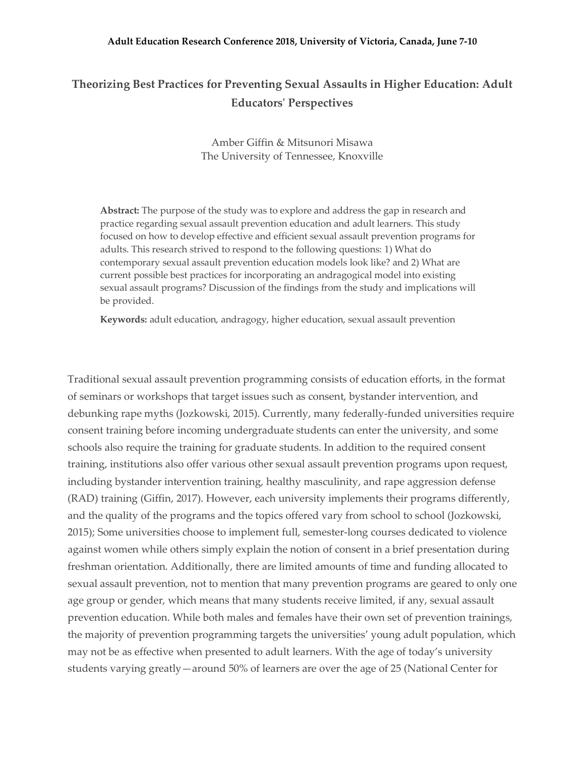# **Theorizing Best Practices for Preventing Sexual Assaults in Higher Education: Adult Educators' Perspectives**

Amber Giffin & Mitsunori Misawa The University of Tennessee, Knoxville

**Abstract:** The purpose of the study was to explore and address the gap in research and practice regarding sexual assault prevention education and adult learners. This study focused on how to develop effective and efficient sexual assault prevention programs for adults. This research strived to respond to the following questions: 1) What do contemporary sexual assault prevention education models look like? and 2) What are current possible best practices for incorporating an andragogical model into existing sexual assault programs? Discussion of the findings from the study and implications will be provided.

**Keywords:** adult education, andragogy, higher education, sexual assault prevention

Traditional sexual assault prevention programming consists of education efforts, in the format of seminars or workshops that target issues such as consent, bystander intervention, and debunking rape myths (Jozkowski, 2015). Currently, many federally-funded universities require consent training before incoming undergraduate students can enter the university, and some schools also require the training for graduate students. In addition to the required consent training, institutions also offer various other sexual assault prevention programs upon request, including bystander intervention training, healthy masculinity, and rape aggression defense (RAD) training (Giffin, 2017). However, each university implements their programs differently, and the quality of the programs and the topics offered vary from school to school (Jozkowski, 2015); Some universities choose to implement full, semester-long courses dedicated to violence against women while others simply explain the notion of consent in a brief presentation during freshman orientation. Additionally, there are limited amounts of time and funding allocated to sexual assault prevention, not to mention that many prevention programs are geared to only one age group or gender, which means that many students receive limited, if any, sexual assault prevention education. While both males and females have their own set of prevention trainings, the majority of prevention programming targets the universities' young adult population, which may not be as effective when presented to adult learners. With the age of today's university students varying greatly—around 50% of learners are over the age of 25 (National Center for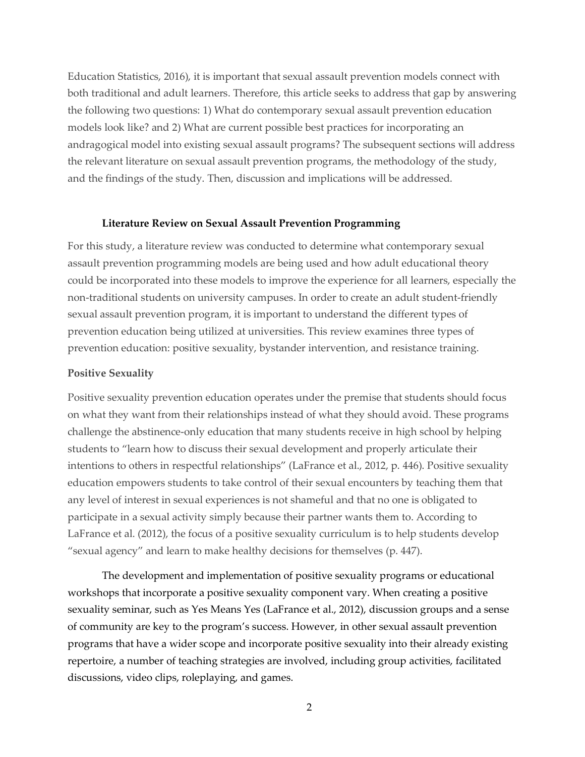Education Statistics, 2016), it is important that sexual assault prevention models connect with both traditional and adult learners. Therefore, this article seeks to address that gap by answering the following two questions: 1) What do contemporary sexual assault prevention education models look like? and 2) What are current possible best practices for incorporating an andragogical model into existing sexual assault programs? The subsequent sections will address the relevant literature on sexual assault prevention programs, the methodology of the study, and the findings of the study. Then, discussion and implications will be addressed.

#### **Literature Review on Sexual Assault Prevention Programming**

For this study, a literature review was conducted to determine what contemporary sexual assault prevention programming models are being used and how adult educational theory could be incorporated into these models to improve the experience for all learners, especially the non-traditional students on university campuses. In order to create an adult student-friendly sexual assault prevention program, it is important to understand the different types of prevention education being utilized at universities. This review examines three types of prevention education: positive sexuality, bystander intervention, and resistance training.

#### **Positive Sexuality**

Positive sexuality prevention education operates under the premise that students should focus on what they want from their relationships instead of what they should avoid. These programs challenge the abstinence-only education that many students receive in high school by helping students to "learn how to discuss their sexual development and properly articulate their intentions to others in respectful relationships" (LaFrance et al., 2012, p. 446). Positive sexuality education empowers students to take control of their sexual encounters by teaching them that any level of interest in sexual experiences is not shameful and that no one is obligated to participate in a sexual activity simply because their partner wants them to. According to LaFrance et al. (2012), the focus of a positive sexuality curriculum is to help students develop "sexual agency" and learn to make healthy decisions for themselves (p. 447).

The development and implementation of positive sexuality programs or educational workshops that incorporate a positive sexuality component vary. When creating a positive sexuality seminar, such as Yes Means Yes (LaFrance et al., 2012), discussion groups and a sense of community are key to the program's success. However, in other sexual assault prevention programs that have a wider scope and incorporate positive sexuality into their already existing repertoire, a number of teaching strategies are involved, including group activities, facilitated discussions, video clips, roleplaying, and games.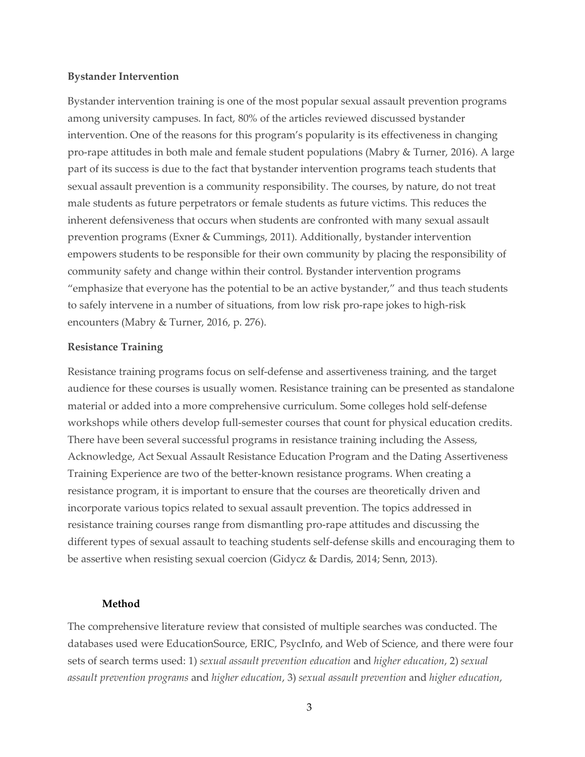#### **Bystander Intervention**

Bystander intervention training is one of the most popular sexual assault prevention programs among university campuses. In fact, 80% of the articles reviewed discussed bystander intervention. One of the reasons for this program's popularity is its effectiveness in changing pro-rape attitudes in both male and female student populations (Mabry & Turner, 2016). A large part of its success is due to the fact that bystander intervention programs teach students that sexual assault prevention is a community responsibility. The courses, by nature, do not treat male students as future perpetrators or female students as future victims. This reduces the inherent defensiveness that occurs when students are confronted with many sexual assault prevention programs (Exner & Cummings, 2011). Additionally, bystander intervention empowers students to be responsible for their own community by placing the responsibility of community safety and change within their control. Bystander intervention programs "emphasize that everyone has the potential to be an active bystander," and thus teach students to safely intervene in a number of situations, from low risk pro-rape jokes to high-risk encounters (Mabry & Turner, 2016, p. 276).

### **Resistance Training**

Resistance training programs focus on self-defense and assertiveness training, and the target audience for these courses is usually women. Resistance training can be presented as standalone material or added into a more comprehensive curriculum. Some colleges hold self-defense workshops while others develop full-semester courses that count for physical education credits. There have been several successful programs in resistance training including the Assess, Acknowledge, Act Sexual Assault Resistance Education Program and the Dating Assertiveness Training Experience are two of the better-known resistance programs. When creating a resistance program, it is important to ensure that the courses are theoretically driven and incorporate various topics related to sexual assault prevention. The topics addressed in resistance training courses range from dismantling pro-rape attitudes and discussing the different types of sexual assault to teaching students self-defense skills and encouraging them to be assertive when resisting sexual coercion (Gidycz & Dardis, 2014; Senn, 2013).

#### **Method**

The comprehensive literature review that consisted of multiple searches was conducted. The databases used were EducationSource, ERIC, PsycInfo, and Web of Science, and there were four sets of search terms used: 1) *sexual assault prevention education* and *higher education*, 2) *sexual assault prevention programs* and *higher education*, 3) *sexual assault prevention* and *higher education*,

3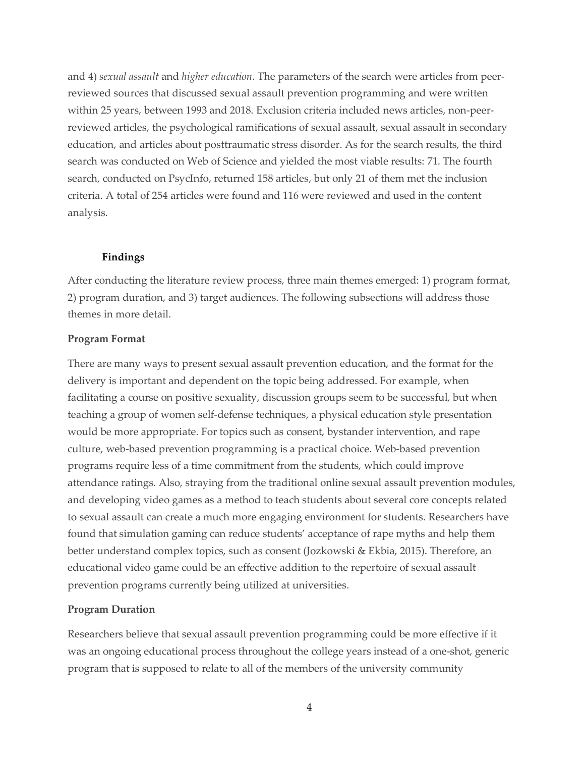and 4) *sexual assault* and *higher education*. The parameters of the search were articles from peerreviewed sources that discussed sexual assault prevention programming and were written within 25 years, between 1993 and 2018. Exclusion criteria included news articles, non-peerreviewed articles, the psychological ramifications of sexual assault, sexual assault in secondary education, and articles about posttraumatic stress disorder. As for the search results, the third search was conducted on Web of Science and yielded the most viable results: 71. The fourth search, conducted on PsycInfo, returned 158 articles, but only 21 of them met the inclusion criteria. A total of 254 articles were found and 116 were reviewed and used in the content analysis.

# **Findings**

After conducting the literature review process, three main themes emerged: 1) program format, 2) program duration, and 3) target audiences. The following subsections will address those themes in more detail.

# **Program Format**

There are many ways to present sexual assault prevention education, and the format for the delivery is important and dependent on the topic being addressed. For example, when facilitating a course on positive sexuality, discussion groups seem to be successful, but when teaching a group of women self-defense techniques, a physical education style presentation would be more appropriate. For topics such as consent, bystander intervention, and rape culture, web-based prevention programming is a practical choice. Web-based prevention programs require less of a time commitment from the students, which could improve attendance ratings. Also, straying from the traditional online sexual assault prevention modules, and developing video games as a method to teach students about several core concepts related to sexual assault can create a much more engaging environment for students. Researchers have found that simulation gaming can reduce students' acceptance of rape myths and help them better understand complex topics, such as consent (Jozkowski & Ekbia, 2015). Therefore, an educational video game could be an effective addition to the repertoire of sexual assault prevention programs currently being utilized at universities.

# **Program Duration**

Researchers believe that sexual assault prevention programming could be more effective if it was an ongoing educational process throughout the college years instead of a one-shot, generic program that is supposed to relate to all of the members of the university community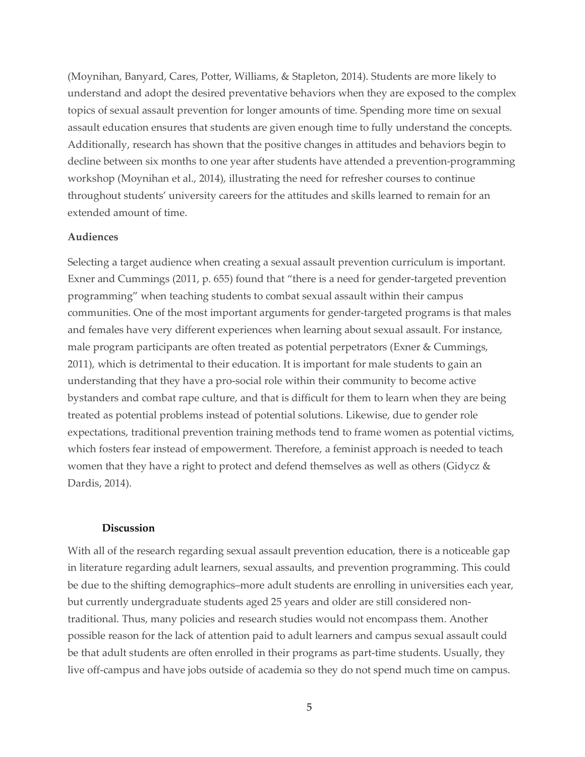(Moynihan, Banyard, Cares, Potter, Williams, & Stapleton, 2014). Students are more likely to understand and adopt the desired preventative behaviors when they are exposed to the complex topics of sexual assault prevention for longer amounts of time. Spending more time on sexual assault education ensures that students are given enough time to fully understand the concepts. Additionally, research has shown that the positive changes in attitudes and behaviors begin to decline between six months to one year after students have attended a prevention-programming workshop (Moynihan et al., 2014), illustrating the need for refresher courses to continue throughout students' university careers for the attitudes and skills learned to remain for an extended amount of time.

# **Audiences**

Selecting a target audience when creating a sexual assault prevention curriculum is important. Exner and Cummings (2011, p. 655) found that "there is a need for gender-targeted prevention programming" when teaching students to combat sexual assault within their campus communities. One of the most important arguments for gender-targeted programs is that males and females have very different experiences when learning about sexual assault. For instance, male program participants are often treated as potential perpetrators (Exner & Cummings, 2011), which is detrimental to their education. It is important for male students to gain an understanding that they have a pro-social role within their community to become active bystanders and combat rape culture, and that is difficult for them to learn when they are being treated as potential problems instead of potential solutions. Likewise, due to gender role expectations, traditional prevention training methods tend to frame women as potential victims, which fosters fear instead of empowerment. Therefore, a feminist approach is needed to teach women that they have a right to protect and defend themselves as well as others (Gidycz  $\&$ Dardis, 2014).

#### **Discussion**

With all of the research regarding sexual assault prevention education, there is a noticeable gap in literature regarding adult learners, sexual assaults, and prevention programming. This could be due to the shifting demographics–more adult students are enrolling in universities each year, but currently undergraduate students aged 25 years and older are still considered nontraditional. Thus, many policies and research studies would not encompass them. Another possible reason for the lack of attention paid to adult learners and campus sexual assault could be that adult students are often enrolled in their programs as part-time students. Usually, they live off-campus and have jobs outside of academia so they do not spend much time on campus.

5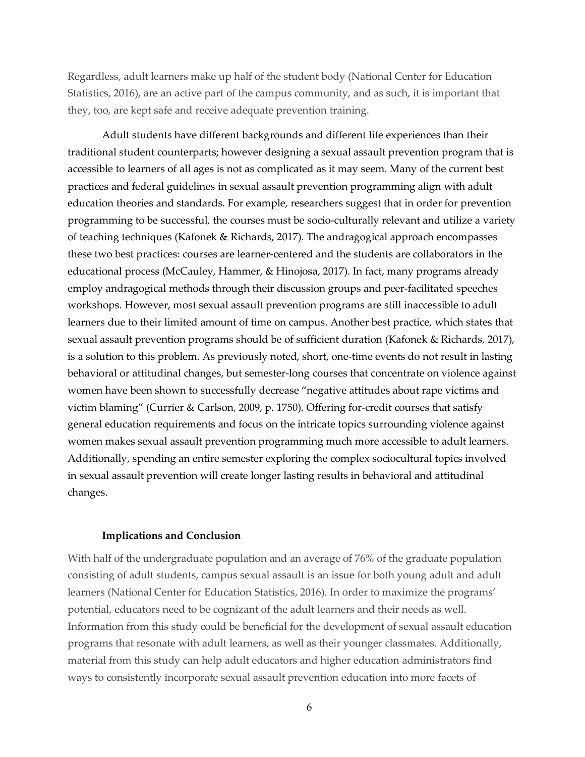Regardless, adult learners make up half of the student body (National Center for Education Statistics, 2016), are an active part of the campus community, and as such, it is important that they, too, are kept safe and receive adequate prevention training.

Adult students have different backgrounds and different life experiences than their traditional student counterparts; however designing a sexual assault prevention program that is accessible to learners of all ages is not as complicated as it may seem. Many of the current best practices and federal guidelines in sexual assault prevention programming align with adult education theories and standards. For example, researchers suggest that in order for prevention programming to be successful, the courses must be socio-culturally relevant and utilize a variety of teaching techniques (Kafonek & Richards, 2017). The andragogical approach encompasses these two best practices: courses are learner-centered and the students are collaborators in the educational process (McCauley, Hammer, & Hinojosa, 2017). In fact, many programs already employ andragogical methods through their discussion groups and peer-facilitated speeches workshops. However, most sexual assault prevention programs are still inaccessible to adult learners due to their limited amount of time on campus. Another best practice, which states that sexual assault prevention programs should be of sufficient duration (Kafonek & Richards, 2017), is a solution to this problem. As previously noted, short, one-time events do not result in lasting behavioral or attitudinal changes, but semester-long courses that concentrate on violence against women have been shown to successfully decrease "negative attitudes about rape victims and victim blaming" (Currier & Carlson, 2009, p. 1750). Offering for-credit courses that satisfy general education requirements and focus on the intricate topics surrounding violence against women makes sexual assault prevention programming much more accessible to adult learners. Additionally, spending an entire semester exploring the complex sociocultural topics involved in sexual assault prevention will create longer lasting results in behavioral and attitudinal changes.

# **Implications and Conclusion**

With half of the undergraduate population and an average of 76% of the graduate population consisting of adult students, campus sexual assault is an issue for both young adult and adult learners (National Center for Education Statistics, 2016). In order to maximize the programs' potential, educators need to be cognizant of the adult learners and their needs as well. Information from this study could be beneficial for the development of sexual assault education programs that resonate with adult learners, as well as their younger classmates. Additionally, material from this study can help adult educators and higher education administrators find ways to consistently incorporate sexual assault prevention education into more facets of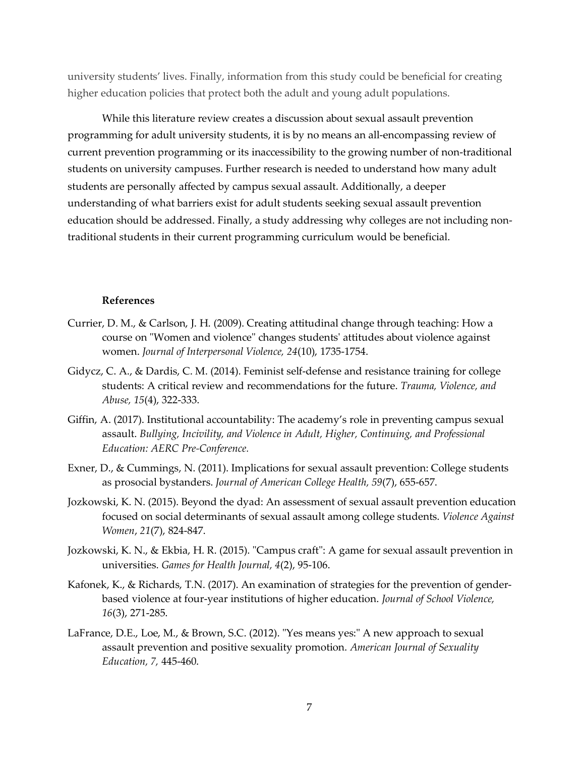university students' lives. Finally, information from this study could be beneficial for creating higher education policies that protect both the adult and young adult populations.

While this literature review creates a discussion about sexual assault prevention programming for adult university students, it is by no means an all-encompassing review of current prevention programming or its inaccessibility to the growing number of non-traditional students on university campuses. Further research is needed to understand how many adult students are personally affected by campus sexual assault. Additionally, a deeper understanding of what barriers exist for adult students seeking sexual assault prevention education should be addressed. Finally, a study addressing why colleges are not including nontraditional students in their current programming curriculum would be beneficial.

#### **References**

- Currier, D. M., & Carlson, J. H. (2009). Creating attitudinal change through teaching: How a course on "Women and violence" changes students' attitudes about violence against women. *Journal of Interpersonal Violence, 24*(10), 1735-1754.
- Gidycz, C. A., & Dardis, C. M. (2014). Feminist self-defense and resistance training for college students: A critical review and recommendations for the future. *Trauma, Violence, and Abuse, 15*(4), 322-333.
- Giffin, A. (2017). Institutional accountability: The academy's role in preventing campus sexual assault. *Bullying, Incivility, and Violence in Adult, Higher, Continuing, and Professional Education: AERC Pre-Conference.*
- Exner, D., & Cummings, N. (2011). Implications for sexual assault prevention: College students as prosocial bystanders. *Journal of American College Health, 59*(7), 655-657.
- Jozkowski, K. N. (2015). Beyond the dyad: An assessment of sexual assault prevention education focused on social determinants of sexual assault among college students. *Violence Against Women*, *21*(7), 824-847.
- Jozkowski, K. N., & Ekbia, H. R. (2015). "Campus craft": A game for sexual assault prevention in universities. *Games for Health Journal, 4*(2), 95-106.
- Kafonek, K., & Richards, T.N. (2017). An examination of strategies for the prevention of genderbased violence at four-year institutions of higher education. *Journal of School Violence, 16*(3), 271-285.
- LaFrance, D.E., Loe, M., & Brown, S.C. (2012). "Yes means yes:" A new approach to sexual assault prevention and positive sexuality promotion. *American Journal of Sexuality Education, 7,* 445-460.